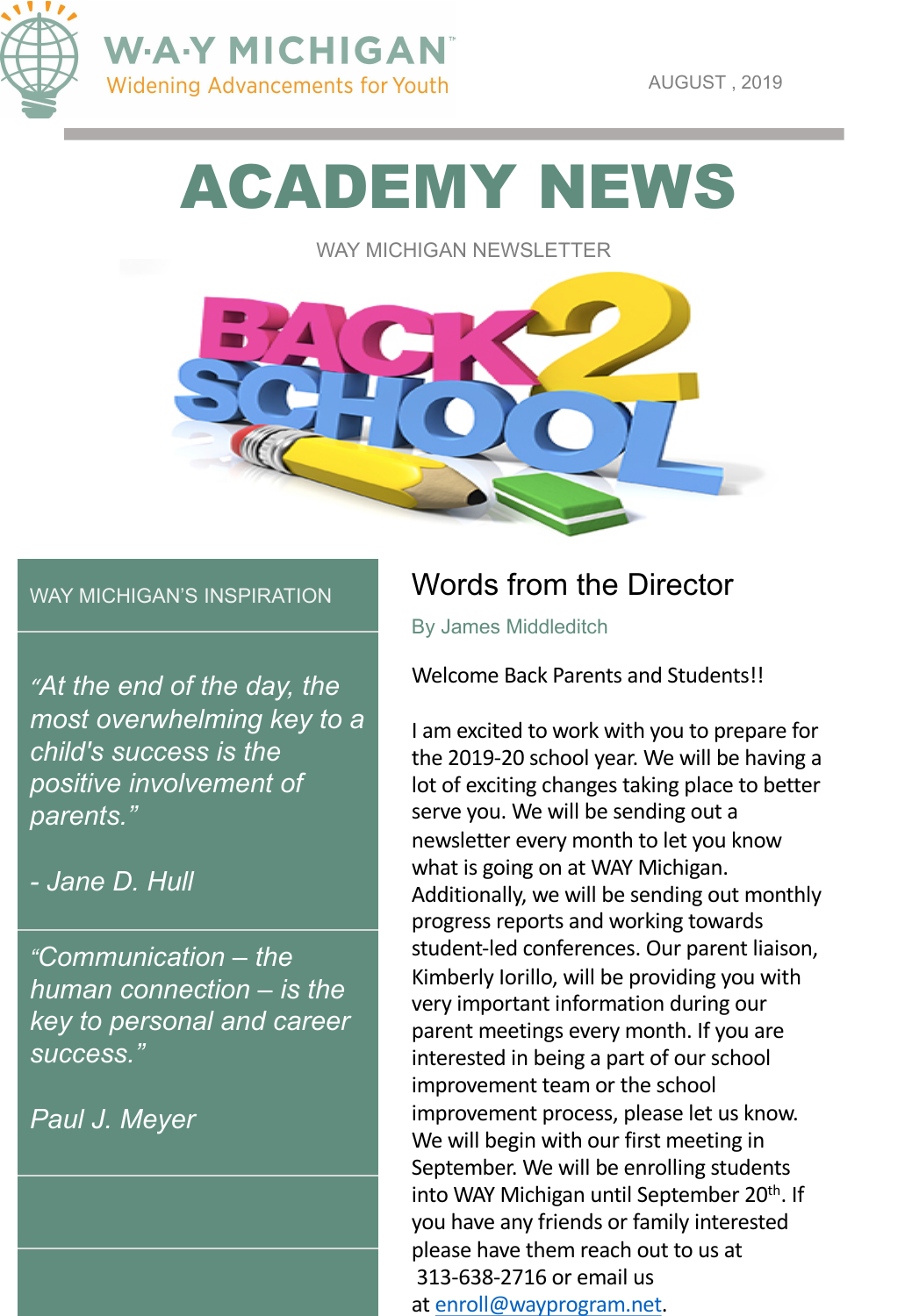

AUGUST , 2019

# ACADEMY NEWS

WAY MICHIGAN NEWSLETTER



#### WAY MICHIGAN'S INSPIRATION

*"At the end of the day, the most overwhelming key to a child's success is the positive involvement of parents."* 

#### *- Jane D. Hull*

*"Communication – the human connection – is the key to personal and career success."*

*Paul J. Meyer*

## Words from the Director

By James Middleditch

Welcome Back Parents and Students!!

I am excited to work with you to prepare for the 2019-20 school year. We will be having a lot of exciting changes taking place to better serve you. We will be sending out a newsletter every month to let you know what is going on at WAY Michigan. Additionally, we will be sending out monthly progress reports and working towards student-led conferences. Our parent liaison, Kimberly Iorillo, will be providing you with very important information during our parent meetings every month. If you are interested in being a part of our school improvement team or the school improvement process, please let us know. We will begin with our first meeting in September. We will be enrolling students into WAY Michigan until September 20<sup>th</sup>. If you have any friends or family interested please have them reach out to us at 313-638-2716 or email us at [enroll@wayprogram.net](mailto:enroll@wayprogram.net).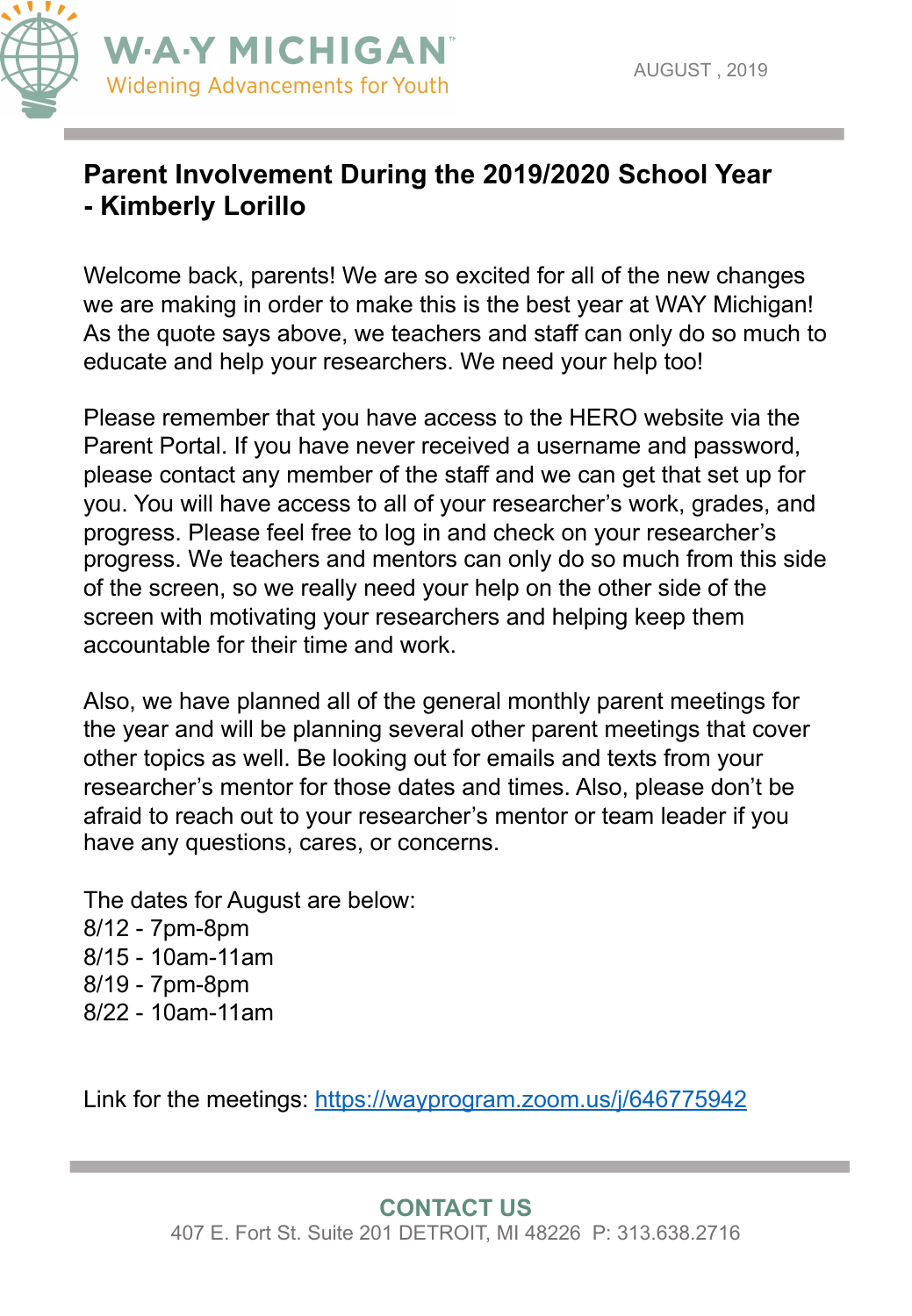

### **Parent Involvement During the 2019/2020 School Year - Kimberly Lorillo**

Welcome back, parents! We are so excited for all of the new changes we are making in order to make this is the best year at WAY Michigan! As the quote says above, we teachers and staff can only do so much to educate and help your researchers. We need your help too!

Please remember that you have access to the HERO website via the Parent Portal. If you have never received a username and password, please contact any member of the staff and we can get that set up for you. You will have access to all of your researcher's work, grades, and progress. Please feel free to log in and check on your researcher's progress. We teachers and mentors can only do so much from this side of the screen, so we really need your help on the other side of the screen with motivating your researchers and helping keep them accountable for their time and work.

Also, we have planned all of the general monthly parent meetings for the year and will be planning several other parent meetings that cover other topics as well. Be looking out for emails and texts from your researcher's mentor for those dates and times. Also, please don't be afraid to reach out to your researcher's mentor or team leader if you have any questions, cares, or concerns.

The dates for August are below: 8/12 - 7pm-8pm 8/15 - 10am-11am 8/19 - 7pm-8pm 8/22 - 10am-11am

Link for the meetings:<https://wayprogram.zoom.us/j/646775942>